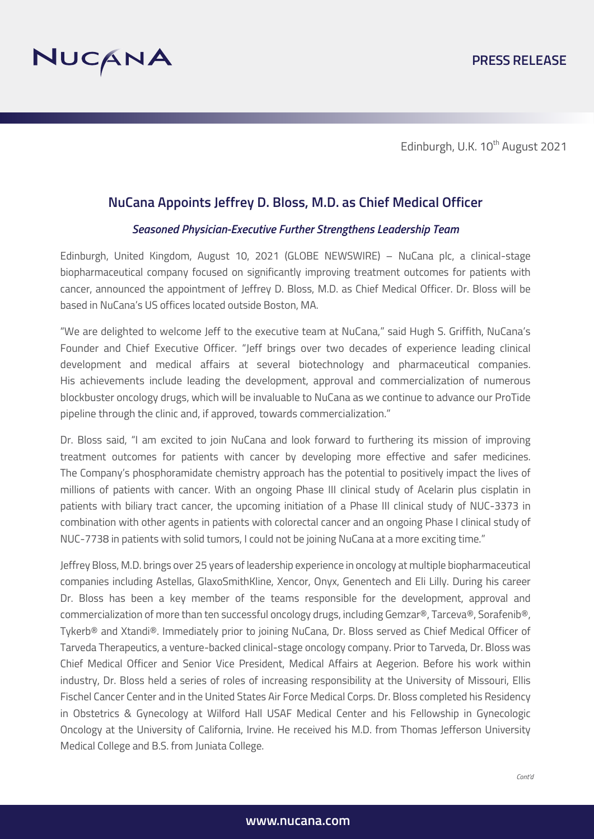

Edinburgh, U.K. 10<sup>th</sup> August 2021

# **NuCana Appoints Jeffrey D. Bloss, M.D. as Chief Medical Officer**

### *Seasoned Physician-Executive Further Strengthens Leadership Team*

Edinburgh, United Kingdom, August 10, 2021 (GLOBE NEWSWIRE) – NuCana plc, a clinical-stage biopharmaceutical company focused on significantly improving treatment outcomes for patients with cancer, announced the appointment of Jeffrey D. Bloss, M.D. as Chief Medical Officer. Dr. Bloss will be based in NuCana's US offices located outside Boston, MA.

"We are delighted to welcome Jeff to the executive team at NuCana," said Hugh S. Griffith, NuCana's Founder and Chief Executive Officer. "Jeff brings over two decades of experience leading clinical development and medical affairs at several biotechnology and pharmaceutical companies. His achievements include leading the development, approval and commercialization of numerous blockbuster oncology drugs, which will be invaluable to NuCana as we continue to advance our ProTide pipeline through the clinic and, if approved, towards commercialization."

Dr. Bloss said, "I am excited to join NuCana and look forward to furthering its mission of improving treatment outcomes for patients with cancer by developing more effective and safer medicines. The Company's phosphoramidate chemistry approach has the potential to positively impact the lives of millions of patients with cancer. With an ongoing Phase III clinical study of Acelarin plus cisplatin in patients with biliary tract cancer, the upcoming initiation of a Phase III clinical study of NUC-3373 in combination with other agents in patients with colorectal cancer and an ongoing Phase I clinical study of NUC-7738 in patients with solid tumors, I could not be joining NuCana at a more exciting time."

Jeffrey Bloss, M.D. brings over 25 years of leadership experience in oncology at multiple biopharmaceutical companies including Astellas, GlaxoSmithKline, Xencor, Onyx, Genentech and Eli Lilly. During his career Dr. Bloss has been a key member of the teams responsible for the development, approval and commercialization of more than ten successful oncology drugs, including Gemzar®, Tarceva®, Sorafenib®, Tykerb® and Xtandi®. Immediately prior to joining NuCana, Dr. Bloss served as Chief Medical Officer of Tarveda Therapeutics, a venture-backed clinical-stage oncology company. Prior to Tarveda, Dr. Bloss was Chief Medical Officer and Senior Vice President, Medical Affairs at Aegerion. Before his work within industry, Dr. Bloss held a series of roles of increasing responsibility at the University of Missouri, Ellis Fischel Cancer Center and in the United States Air Force Medical Corps. Dr. Bloss completed his Residency in Obstetrics & Gynecology at Wilford Hall USAF Medical Center and his Fellowship in Gynecologic Oncology at the University of California, Irvine. He received his M.D. from Thomas Jefferson University Medical College and B.S. from Juniata College.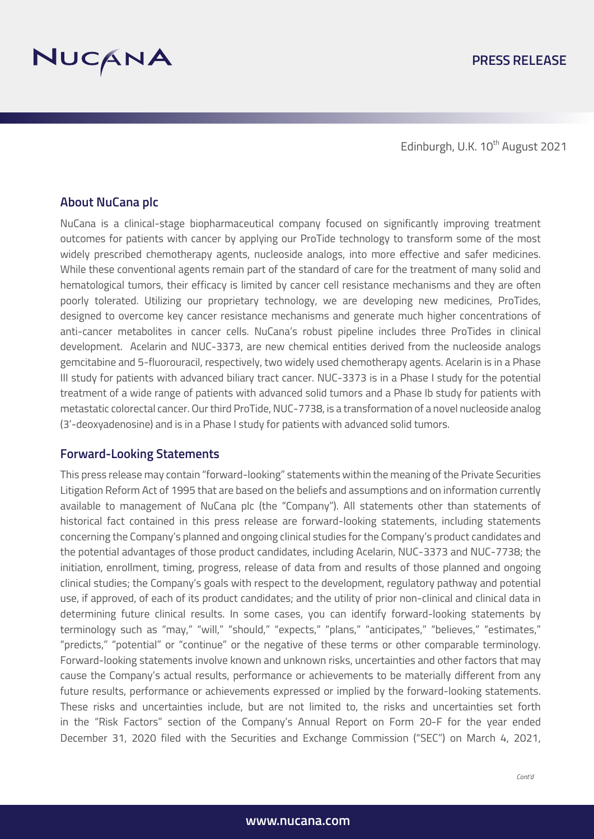

Edinburgh, U.K. 10<sup>th</sup> August 2021

# **About NuCana plc**

NuCana is a clinical-stage biopharmaceutical company focused on significantly improving treatment outcomes for patients with cancer by applying our ProTide technology to transform some of the most widely prescribed chemotherapy agents, nucleoside analogs, into more effective and safer medicines. While these conventional agents remain part of the standard of care for the treatment of many solid and hematological tumors, their efficacy is limited by cancer cell resistance mechanisms and they are often poorly tolerated. Utilizing our proprietary technology, we are developing new medicines, ProTides, designed to overcome key cancer resistance mechanisms and generate much higher concentrations of anti-cancer metabolites in cancer cells. NuCana's robust pipeline includes three ProTides in clinical development. Acelarin and NUC-3373, are new chemical entities derived from the nucleoside analogs gemcitabine and 5-fluorouracil, respectively, two widely used chemotherapy agents. Acelarin is in a Phase III study for patients with advanced biliary tract cancer. NUC-3373 is in a Phase I study for the potential treatment of a wide range of patients with advanced solid tumors and a Phase Ib study for patients with metastatic colorectal cancer. Our third ProTide, NUC-7738, is a transformation of a novel nucleoside analog (3'-deoxyadenosine) and is in a Phase I study for patients with advanced solid tumors.

## **Forward-Looking Statements**

This press release may contain "forward-looking" statements within the meaning of the Private Securities Litigation Reform Act of 1995 that are based on the beliefs and assumptions and on information currently available to management of NuCana plc (the "Company"). All statements other than statements of historical fact contained in this press release are forward-looking statements, including statements concerning the Company's planned and ongoing clinical studies for the Company's product candidates and the potential advantages of those product candidates, including Acelarin, NUC-3373 and NUC-7738; the initiation, enrollment, timing, progress, release of data from and results of those planned and ongoing clinical studies; the Company's goals with respect to the development, regulatory pathway and potential use, if approved, of each of its product candidates; and the utility of prior non-clinical and clinical data in determining future clinical results. In some cases, you can identify forward-looking statements by terminology such as "may," "will," "should," "expects," "plans," "anticipates," "believes," "estimates," "predicts," "potential" or "continue" or the negative of these terms or other comparable terminology. Forward-looking statements involve known and unknown risks, uncertainties and other factors that may cause the Company's actual results, performance or achievements to be materially different from any future results, performance or achievements expressed or implied by the forward-looking statements. These risks and uncertainties include, but are not limited to, the risks and uncertainties set forth in the "Risk Factors" section of the Company's Annual Report on Form 20-F for the year ended December 31, 2020 filed with the Securities and Exchange Commission ("SEC") on March 4, 2021,